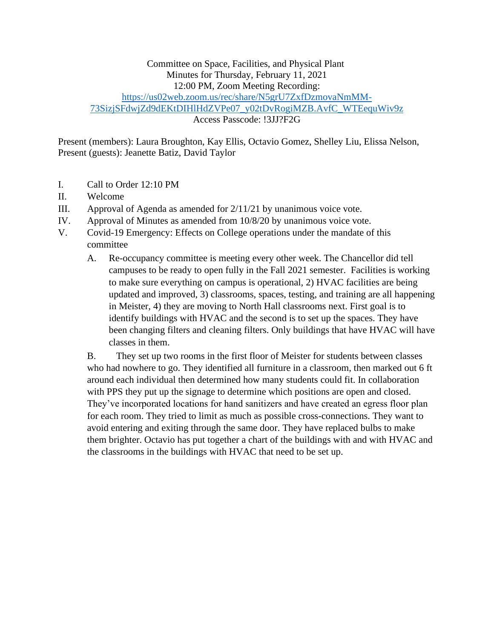## Committee on Space, Facilities, and Physical Plant Minutes for Thursday, February 11, 2021 12:00 PM, Zoom Meeting Recording: [https://us02web.zoom.us/rec/share/N5grU7ZxfDzmovaNmMM-](https://us02web.zoom.us/rec/share/N5grU7ZxfDzmovaNmMM-73SizjSFdwjZd9dEKtDIHlHdZVPe07_y02tDvRogiMZB.AvfC_WTEequWiv9z)[73SizjSFdwjZd9dEKtDIHlHdZVPe07\\_y02tDvRogiMZB.AvfC\\_WTEequWiv9z](https://us02web.zoom.us/rec/share/N5grU7ZxfDzmovaNmMM-73SizjSFdwjZd9dEKtDIHlHdZVPe07_y02tDvRogiMZB.AvfC_WTEequWiv9z) Access Passcode: !3JJ?F2G

Present (members): Laura Broughton, Kay Ellis, Octavio Gomez, Shelley Liu, Elissa Nelson, Present (guests): Jeanette Batiz, David Taylor

- I. Call to Order 12:10 PM
- II. Welcome
- III. Approval of Agenda as amended for 2/11/21 by unanimous voice vote.
- IV. Approval of Minutes as amended from 10/8/20 by unanimous voice vote.
- V. Covid-19 Emergency: Effects on College operations under the mandate of this committee
	- A. Re-occupancy committee is meeting every other week. The Chancellor did tell campuses to be ready to open fully in the Fall 2021 semester. Facilities is working to make sure everything on campus is operational, 2) HVAC facilities are being updated and improved, 3) classrooms, spaces, testing, and training are all happening in Meister, 4) they are moving to North Hall classrooms next. First goal is to identify buildings with HVAC and the second is to set up the spaces. They have been changing filters and cleaning filters. Only buildings that have HVAC will have classes in them.

B. They set up two rooms in the first floor of Meister for students between classes who had nowhere to go. They identified all furniture in a classroom, then marked out 6 ft around each individual then determined how many students could fit. In collaboration with PPS they put up the signage to determine which positions are open and closed. They've incorporated locations for hand sanitizers and have created an egress floor plan for each room. They tried to limit as much as possible cross-connections. They want to avoid entering and exiting through the same door. They have replaced bulbs to make them brighter. Octavio has put together a chart of the buildings with and with HVAC and the classrooms in the buildings with HVAC that need to be set up.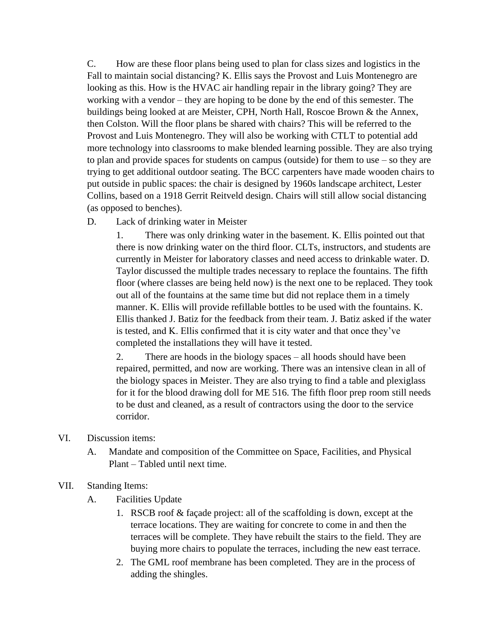C. How are these floor plans being used to plan for class sizes and logistics in the Fall to maintain social distancing? K. Ellis says the Provost and Luis Montenegro are looking as this. How is the HVAC air handling repair in the library going? They are working with a vendor – they are hoping to be done by the end of this semester. The buildings being looked at are Meister, CPH, North Hall, Roscoe Brown & the Annex, then Colston. Will the floor plans be shared with chairs? This will be referred to the Provost and Luis Montenegro. They will also be working with CTLT to potential add more technology into classrooms to make blended learning possible. They are also trying to plan and provide spaces for students on campus (outside) for them to use – so they are trying to get additional outdoor seating. The BCC carpenters have made wooden chairs to put outside in public spaces: the chair is designed by 1960s landscape architect, Lester Collins, based on a 1918 Gerrit Reitveld design. Chairs will still allow social distancing (as opposed to benches).

D. Lack of drinking water in Meister

1. There was only drinking water in the basement. K. Ellis pointed out that there is now drinking water on the third floor. CLTs, instructors, and students are currently in Meister for laboratory classes and need access to drinkable water. D. Taylor discussed the multiple trades necessary to replace the fountains. The fifth floor (where classes are being held now) is the next one to be replaced. They took out all of the fountains at the same time but did not replace them in a timely manner. K. Ellis will provide refillable bottles to be used with the fountains. K. Ellis thanked J. Batiz for the feedback from their team. J. Batiz asked if the water is tested, and K. Ellis confirmed that it is city water and that once they've completed the installations they will have it tested.

2. There are hoods in the biology spaces – all hoods should have been repaired, permitted, and now are working. There was an intensive clean in all of the biology spaces in Meister. They are also trying to find a table and plexiglass for it for the blood drawing doll for ME 516. The fifth floor prep room still needs to be dust and cleaned, as a result of contractors using the door to the service corridor.

- VI. Discussion items:
	- A. Mandate and composition of the Committee on Space, Facilities, and Physical Plant – Tabled until next time.
- VII. Standing Items:
	- A. Facilities Update
		- 1. RSCB roof & façade project: all of the scaffolding is down, except at the terrace locations. They are waiting for concrete to come in and then the terraces will be complete. They have rebuilt the stairs to the field. They are buying more chairs to populate the terraces, including the new east terrace.
		- 2. The GML roof membrane has been completed. They are in the process of adding the shingles.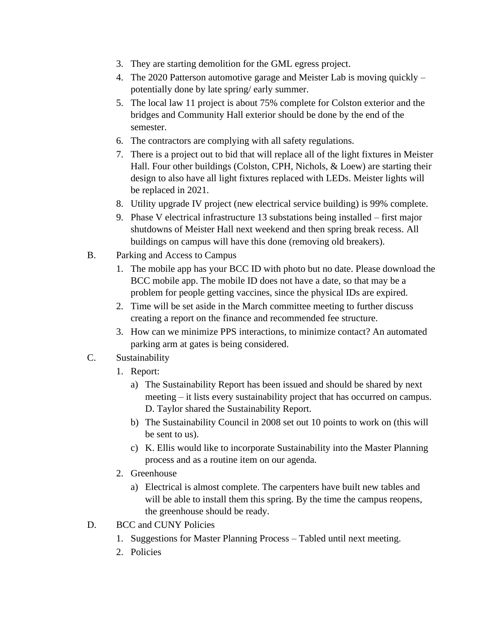- 3. They are starting demolition for the GML egress project.
- 4. The 2020 Patterson automotive garage and Meister Lab is moving quickly potentially done by late spring/ early summer.
- 5. The local law 11 project is about 75% complete for Colston exterior and the bridges and Community Hall exterior should be done by the end of the semester.
- 6. The contractors are complying with all safety regulations.
- 7. There is a project out to bid that will replace all of the light fixtures in Meister Hall. Four other buildings (Colston, CPH, Nichols, & Loew) are starting their design to also have all light fixtures replaced with LEDs. Meister lights will be replaced in 2021.
- 8. Utility upgrade IV project (new electrical service building) is 99% complete.
- 9. Phase V electrical infrastructure 13 substations being installed first major shutdowns of Meister Hall next weekend and then spring break recess. All buildings on campus will have this done (removing old breakers).
- B. Parking and Access to Campus
	- 1. The mobile app has your BCC ID with photo but no date. Please download the BCC mobile app. The mobile ID does not have a date, so that may be a problem for people getting vaccines, since the physical IDs are expired.
	- 2. Time will be set aside in the March committee meeting to further discuss creating a report on the finance and recommended fee structure.
	- 3. How can we minimize PPS interactions, to minimize contact? An automated parking arm at gates is being considered.
- C. Sustainability
	- 1. Report:
		- a) The Sustainability Report has been issued and should be shared by next meeting – it lists every sustainability project that has occurred on campus. D. Taylor shared the Sustainability Report.
		- b) The Sustainability Council in 2008 set out 10 points to work on (this will be sent to us).
		- c) K. Ellis would like to incorporate Sustainability into the Master Planning process and as a routine item on our agenda.
	- 2. Greenhouse
		- a) Electrical is almost complete. The carpenters have built new tables and will be able to install them this spring. By the time the campus reopens, the greenhouse should be ready.
- D. BCC and CUNY Policies
	- 1. Suggestions for Master Planning Process Tabled until next meeting.
	- 2. Policies